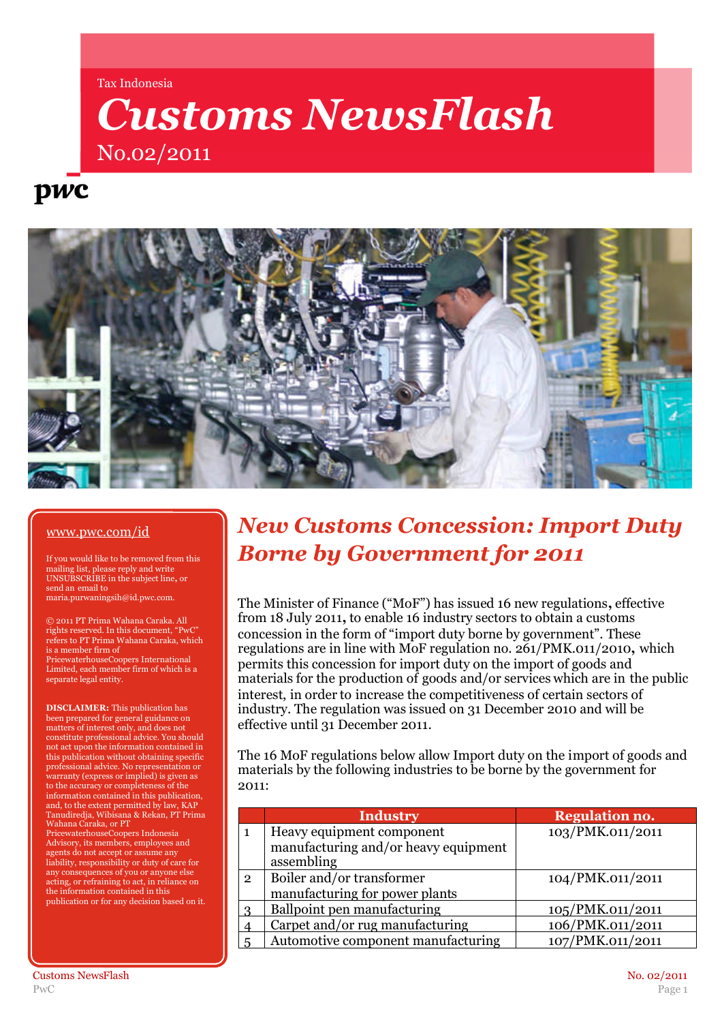Tax Indonesia

# *Customs NewsFlash* No.02/2011

## pwc



#### www.pwc.com/id

If you would like to be removed from this mailing list, please reply and write UNSUBSCRIBE in the subject line**,** or send an email to maria.purwaningsih@id.pwc.com.

© 2011 PT Prima Wahana Caraka. All rights reserved. In this document, "PwC" refers to PT Prima Wahana Caraka, which is a member firm of

PricewaterhouseCoopers International Limited, each member firm of which is a separate legal entity.

**DISCLAIMER:** This publication has been prepared for general guidance on matters of interest only, and does not constitute professional advice. You should not act upon the information contained in this publication without obtaining specific professional advice. No representation or warranty (express or implied) is given as to the accuracy or completeness of the information contained in this publication, and, to the extent permitted by law, KAP Tanudiredja, Wibisana & Rekan, PT Prima Wahana Caraka, or PT

PricewaterhouseCoopers Indonesia Advisory, its members, employees and agents do not accept or assume any liability, responsibility or duty of care for any consequences of you or anyone else acting, or refraining to act, in reliance on the information contained in this publication or for any decision based on it.

### *New Customs Concession: Import Duty Borne by Government for 2011*

The Minister of Finance ("MoF") has issued 16 new regulations**,** effective from 18 July 2011**,** to enable 16 industry sectors to obtain a customs concession in the form of "import duty borne by government". These regulations are in line with MoF regulation no. 261/PMK.011/2010**,** which permits this concession for import duty on the import of goods and materials for the production of goods and/or services which are in the public interest, in order to increase the competitiveness of certain sectors of industry. The regulation was issued on 31 December 2010 and will be effective until 31 December 2011.

The 16 MoF regulations below allow Import duty on the import of goods and materials by the following industries to be borne by the government for 2011:

|                | <b>Industry</b>                      | <b>Regulation no.</b> |
|----------------|--------------------------------------|-----------------------|
|                | Heavy equipment component            | 103/PMK.011/2011      |
|                | manufacturing and/or heavy equipment |                       |
|                | assembling                           |                       |
| $\overline{2}$ | Boiler and/or transformer            | 104/PMK.011/2011      |
|                | manufacturing for power plants       |                       |
|                | Ballpoint pen manufacturing          | 105/PMK.011/2011      |
|                | Carpet and/or rug manufacturing      | 106/PMK.011/2011      |
|                | Automotive component manufacturing   | 107/PMK.011/2011      |